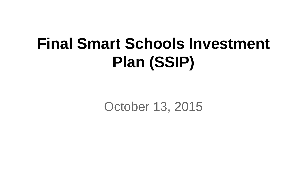# **Final Smart Schools Investment Plan (SSIP)**

October 13, 2015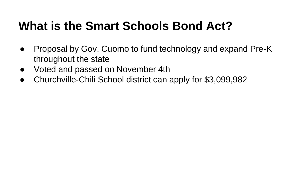#### **What is the Smart Schools Bond Act?**

- Proposal by Gov. Cuomo to fund technology and expand Pre-K throughout the state
- Voted and passed on November 4th
- Churchville-Chili School district can apply for \$3,099,982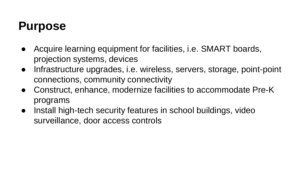#### **Purpose**

- Acquire learning equipment for facilities, i.e. SMART boards, projection systems, devices
- Infrastructure upgrades, i.e. wireless, servers, storage, point-point connections, community connectivity
- Construct, enhance, modernize facilities to accommodate Pre-K programs
- Install high-tech security features in school buildings, video surveillance, door access controls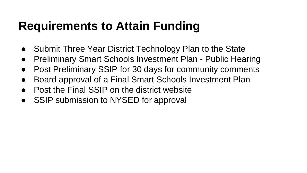#### **Requirements to Attain Funding**

- Submit Three Year District Technology Plan to the State
- Preliminary Smart Schools Investment Plan Public Hearing
- Post Preliminary SSIP for 30 days for community comments
- Board approval of a Final Smart Schools Investment Plan
- **Post the Final SSIP on the district website**
- SSIP submission to NYSED for approval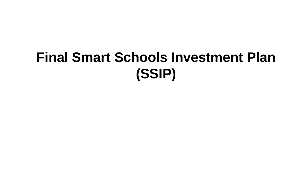## **Final Smart Schools Investment Plan (SSIP)**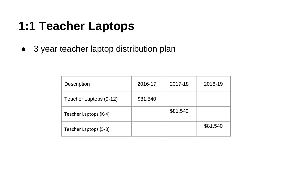#### **1:1 Teacher Laptops**

● 3 year teacher laptop distribution plan

| <b>Description</b>     | 2016-17  | 2017-18  | 2018-19  |
|------------------------|----------|----------|----------|
| Teacher Laptops (9-12) | \$81,540 |          |          |
| Teacher Laptops (K-4)  |          | \$81,540 |          |
| Teacher Laptops (5-8)  |          |          | \$81,540 |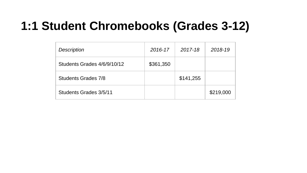#### **1:1 Student Chromebooks (Grades 3-12)**

| Description                 | 2016-17   | 2017-18   | 2018-19   |
|-----------------------------|-----------|-----------|-----------|
| Students Grades 4/6/9/10/12 | \$361,350 |           |           |
| Students Grades 7/8         |           | \$141,255 |           |
| Students Grades 3/5/11      |           |           | \$219,000 |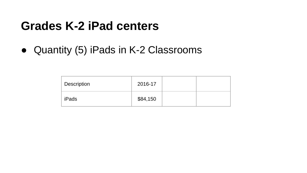#### **Grades K-2 iPad centers**

● Quantity (5) iPads in K-2 Classrooms

| Description | 2016-17  |  |
|-------------|----------|--|
| iPads       | \$84,150 |  |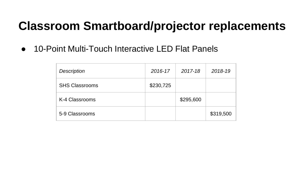#### **Classroom Smartboard/projector replacements**

● 10-Point Multi-Touch Interactive LED Flat Panels

| <b>Description</b>    | 2016-17   | 2017-18   | 2018-19   |
|-----------------------|-----------|-----------|-----------|
| <b>SHS Classrooms</b> | \$230,725 |           |           |
| K-4 Classrooms        |           | \$295,600 |           |
| 5-9 Classrooms        |           |           | \$319,500 |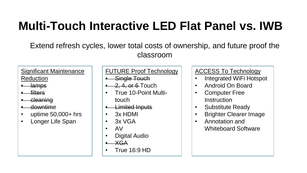### **Multi-Touch Interactive LED Flat Panel vs. IWB**

Extend refresh cycles, lower total costs of ownership, and future proof the classroom

Significant Maintenance Reduction

- 
- lamps
- filters
- cleaning
- downtime
- uptime 50,000+ hrs
- Longer Life Span

#### FUTURE Proof Technology

- Single Touch
- $-2, 4,$  or 6-Touch
- True 10-Point Multitouch
- Limited Inputs
- 3x HDMI
- 3x VGA
- AV
- Digital Audio
- $\overline{\mathsf{A}}$
- True 16:9 HD

#### ACCESS To Technology

- Integrated WiFi Hotspot
- Android On Board
- Computer Free Instruction
- Substitute Ready
- Brighter Clearer Image
- Annotation and Whiteboard Software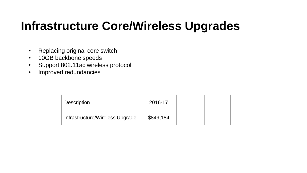#### **Infrastructure Core/Wireless Upgrades**

- Replacing original core switch
- 10GB backbone speeds
- Support 802.11ac wireless protocol
- Improved redundancies

| <b>Description</b>              | 2016-17   |  |
|---------------------------------|-----------|--|
| Infrastructure/Wireless Upgrade | \$849,184 |  |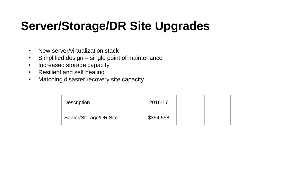### **Server/Storage/DR Site Upgrades**

- New server/virtualization stack
- Simplified design single point of maintenance
- Increased storage capacity
- Resilient and self healing
- Matching disaster recovery site capacity

| Description            | 2016-17   |  |
|------------------------|-----------|--|
| Server/Storage/DR Site | \$354,598 |  |